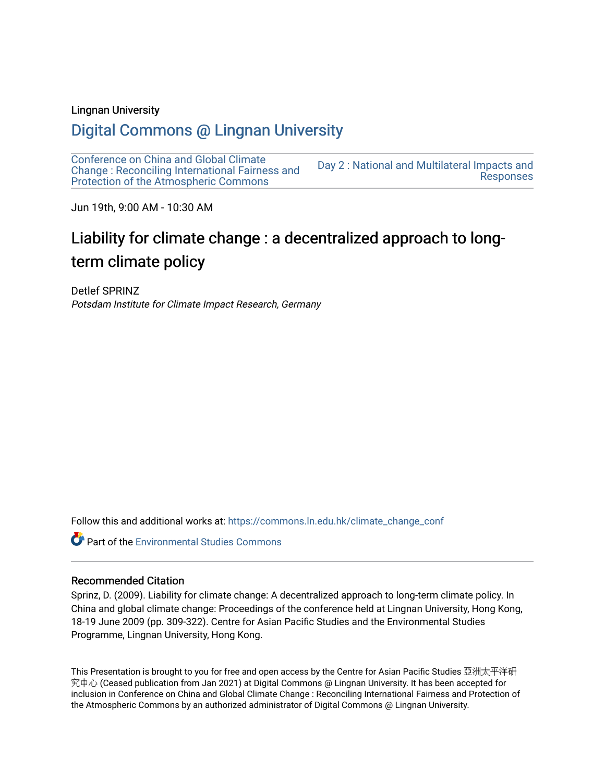#### Lingnan University

# [Digital Commons @ Lingnan University](https://commons.ln.edu.hk/)

[Conference on China and Global Climate](https://commons.ln.edu.hk/climate_change_conf)  [Change : Reconciling International Fairness and](https://commons.ln.edu.hk/climate_change_conf)  [Protection of the Atmospheric Commons](https://commons.ln.edu.hk/climate_change_conf) [Day 2 : National and Multilateral Impacts and](https://commons.ln.edu.hk/climate_change_conf/day2)  [Responses](https://commons.ln.edu.hk/climate_change_conf/day2) 

Jun 19th, 9:00 AM - 10:30 AM

# Liability for climate change : a decentralized approach to longterm climate policy

Detlef SPRINZ Potsdam Institute for Climate Impact Research, Germany

Follow this and additional works at: [https://commons.ln.edu.hk/climate\\_change\\_conf](https://commons.ln.edu.hk/climate_change_conf?utm_source=commons.ln.edu.hk%2Fclimate_change_conf%2Fday2%2Fs1%2F1&utm_medium=PDF&utm_campaign=PDFCoverPages) 

**Part of the [Environmental Studies Commons](https://network.bepress.com/hgg/discipline/1333?utm_source=commons.ln.edu.hk%2Fclimate_change_conf%2Fday2%2Fs1%2F1&utm_medium=PDF&utm_campaign=PDFCoverPages)** 

#### Recommended Citation

Sprinz, D. (2009). Liability for climate change: A decentralized approach to long-term climate policy. In China and global climate change: Proceedings of the conference held at Lingnan University, Hong Kong, 18-19 June 2009 (pp. 309-322). Centre for Asian Pacific Studies and the Environmental Studies Programme, Lingnan University, Hong Kong.

This Presentation is brought to you for free and open access by the Centre for Asian Pacific Studies 亞洲太平洋研 究中心 (Ceased publication from Jan 2021) at Digital Commons @ Lingnan University. It has been accepted for inclusion in Conference on China and Global Climate Change : Reconciling International Fairness and Protection of the Atmospheric Commons by an authorized administrator of Digital Commons @ Lingnan University.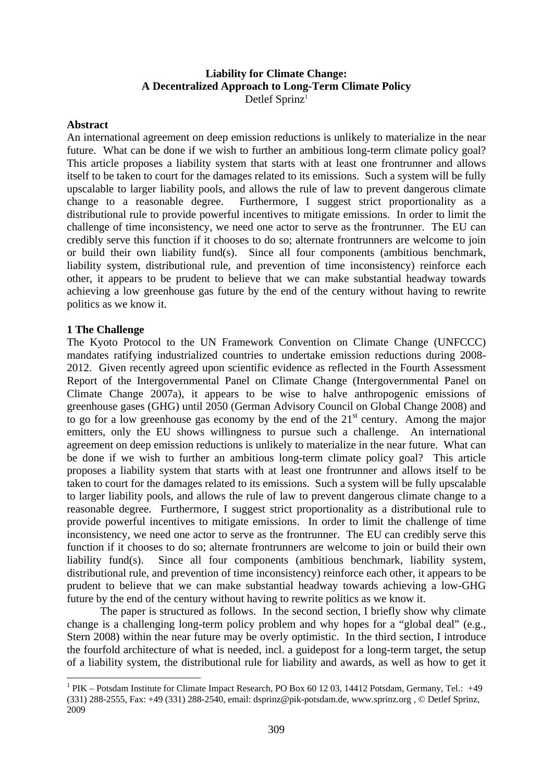# **Liability for Climate Change: A Decentralized Approach to Long-Term Climate Policy**  Detlef Sprinz<sup>1</sup>

#### **Abstract**

An international agreement on deep emission reductions is unlikely to materialize in the near future. What can be done if we wish to further an ambitious long-term climate policy goal? This article proposes a liability system that starts with at least one frontrunner and allows itself to be taken to court for the damages related to its emissions. Such a system will be fully upscalable to larger liability pools, and allows the rule of law to prevent dangerous climate change to a reasonable degree. Furthermore, I suggest strict proportionality as a distributional rule to provide powerful incentives to mitigate emissions. In order to limit the challenge of time inconsistency, we need one actor to serve as the frontrunner. The EU can credibly serve this function if it chooses to do so; alternate frontrunners are welcome to join or build their own liability fund(s). Since all four components (ambitious benchmark, liability system, distributional rule, and prevention of time inconsistency) reinforce each other, it appears to be prudent to believe that we can make substantial headway towards achieving a low greenhouse gas future by the end of the century without having to rewrite politics as we know it.

#### **1 The Challenge**

1

The Kyoto Protocol to the UN Framework Convention on Climate Change (UNFCCC) mandates ratifying industrialized countries to undertake emission reductions during 2008- 2012. Given recently agreed upon scientific evidence as reflected in the Fourth Assessment Report of the Intergovernmental Panel on Climate Change (Intergovernmental Panel on Climate Change 2007a), it appears to be wise to halve anthropogenic emissions of greenhouse gases (GHG) until 2050 (German Advisory Council on Global Change 2008) and to go for a low greenhouse gas economy by the end of the  $21<sup>st</sup>$  century. Among the major emitters, only the EU shows willingness to pursue such a challenge. An international agreement on deep emission reductions is unlikely to materialize in the near future. What can be done if we wish to further an ambitious long-term climate policy goal? This article proposes a liability system that starts with at least one frontrunner and allows itself to be taken to court for the damages related to its emissions. Such a system will be fully upscalable to larger liability pools, and allows the rule of law to prevent dangerous climate change to a reasonable degree. Furthermore, I suggest strict proportionality as a distributional rule to provide powerful incentives to mitigate emissions. In order to limit the challenge of time inconsistency, we need one actor to serve as the frontrunner. The EU can credibly serve this function if it chooses to do so; alternate frontrunners are welcome to join or build their own liability fund(s). Since all four components (ambitious benchmark, liability system, distributional rule, and prevention of time inconsistency) reinforce each other, it appears to be prudent to believe that we can make substantial headway towards achieving a low-GHG future by the end of the century without having to rewrite politics as we know it.

The paper is structured as follows. In the second section, I briefly show why climate change is a challenging long-term policy problem and why hopes for a "global deal" (e.g., Stern 2008) within the near future may be overly optimistic. In the third section, I introduce the fourfold architecture of what is needed, incl. a guidepost for a long-term target, the setup of a liability system, the distributional rule for liability and awards, as well as how to get it

<sup>&</sup>lt;sup>1</sup> PIK – Potsdam Institute for Climate Impact Research, PO Box 60 12 03, 14412 Potsdam, Germany, Tel.: +49 (331) 288-2555, Fax: +49 (331) 288-2540, email: dsprinz@pik-potsdam.de, www.sprinz.org , © Detlef Sprinz, 2009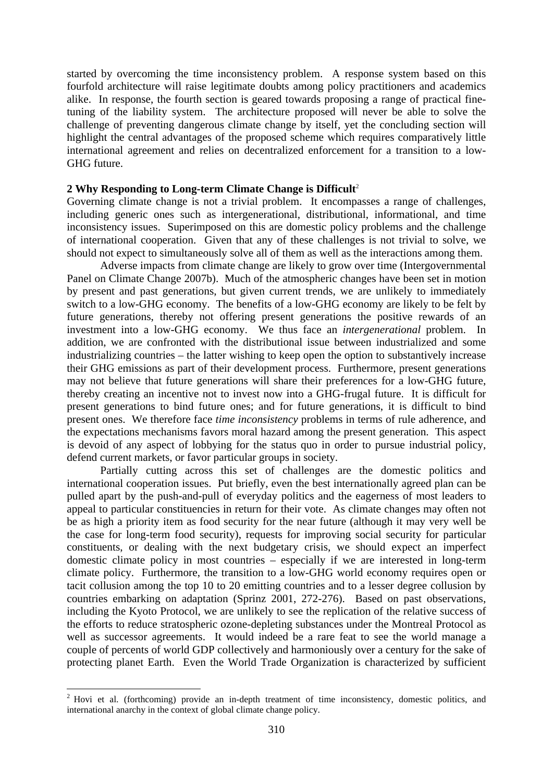started by overcoming the time inconsistency problem. A response system based on this fourfold architecture will raise legitimate doubts among policy practitioners and academics alike. In response, the fourth section is geared towards proposing a range of practical finetuning of the liability system. The architecture proposed will never be able to solve the challenge of preventing dangerous climate change by itself, yet the concluding section will highlight the central advantages of the proposed scheme which requires comparatively little international agreement and relies on decentralized enforcement for a transition to a low-GHG future.

#### **2 Why Responding to Long-term Climate Change is Difficult**<sup>2</sup>

Governing climate change is not a trivial problem. It encompasses a range of challenges, including generic ones such as intergenerational, distributional, informational, and time inconsistency issues. Superimposed on this are domestic policy problems and the challenge of international cooperation. Given that any of these challenges is not trivial to solve, we should not expect to simultaneously solve all of them as well as the interactions among them.

Adverse impacts from climate change are likely to grow over time (Intergovernmental Panel on Climate Change 2007b). Much of the atmospheric changes have been set in motion by present and past generations, but given current trends, we are unlikely to immediately switch to a low-GHG economy. The benefits of a low-GHG economy are likely to be felt by future generations, thereby not offering present generations the positive rewards of an investment into a low-GHG economy. We thus face an *intergenerational* problem. In addition, we are confronted with the distributional issue between industrialized and some industrializing countries – the latter wishing to keep open the option to substantively increase their GHG emissions as part of their development process. Furthermore, present generations may not believe that future generations will share their preferences for a low-GHG future, thereby creating an incentive not to invest now into a GHG-frugal future. It is difficult for present generations to bind future ones; and for future generations, it is difficult to bind present ones. We therefore face *time inconsistency* problems in terms of rule adherence, and the expectations mechanisms favors moral hazard among the present generation. This aspect is devoid of any aspect of lobbying for the status quo in order to pursue industrial policy, defend current markets, or favor particular groups in society.

Partially cutting across this set of challenges are the domestic politics and international cooperation issues. Put briefly, even the best internationally agreed plan can be pulled apart by the push-and-pull of everyday politics and the eagerness of most leaders to appeal to particular constituencies in return for their vote. As climate changes may often not be as high a priority item as food security for the near future (although it may very well be the case for long-term food security), requests for improving social security for particular constituents, or dealing with the next budgetary crisis, we should expect an imperfect domestic climate policy in most countries – especially if we are interested in long-term climate policy. Furthermore, the transition to a low-GHG world economy requires open or tacit collusion among the top 10 to 20 emitting countries and to a lesser degree collusion by countries embarking on adaptation (Sprinz 2001, 272-276). Based on past observations, including the Kyoto Protocol, we are unlikely to see the replication of the relative success of the efforts to reduce stratospheric ozone-depleting substances under the Montreal Protocol as well as successor agreements. It would indeed be a rare feat to see the world manage a couple of percents of world GDP collectively and harmoniously over a century for the sake of protecting planet Earth. Even the World Trade Organization is characterized by sufficient

 $2$  Hovi et al. (forthcoming) provide an in-depth treatment of time inconsistency, domestic politics, and international anarchy in the context of global climate change policy.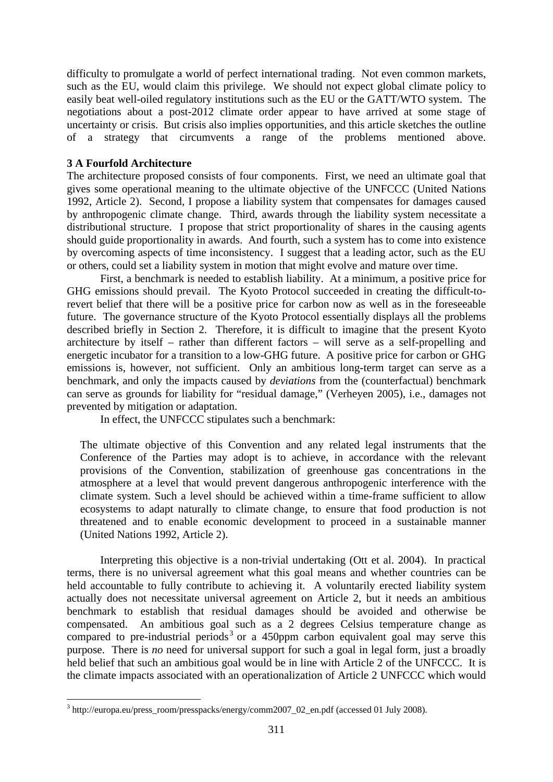difficulty to promulgate a world of perfect international trading. Not even common markets, such as the EU, would claim this privilege. We should not expect global climate policy to easily beat well-oiled regulatory institutions such as the EU or the GATT/WTO system. The negotiations about a post-2012 climate order appear to have arrived at some stage of uncertainty or crisis. But crisis also implies opportunities, and this article sketches the outline of a strategy that circumvents a range of the problems mentioned above.

#### **3 A Fourfold Architecture**

The architecture proposed consists of four components. First, we need an ultimate goal that gives some operational meaning to the ultimate objective of the UNFCCC (United Nations 1992, Article 2). Second, I propose a liability system that compensates for damages caused by anthropogenic climate change. Third, awards through the liability system necessitate a distributional structure. I propose that strict proportionality of shares in the causing agents should guide proportionality in awards. And fourth, such a system has to come into existence by overcoming aspects of time inconsistency. I suggest that a leading actor, such as the EU or others, could set a liability system in motion that might evolve and mature over time.

First, a benchmark is needed to establish liability. At a minimum, a positive price for GHG emissions should prevail. The Kyoto Protocol succeeded in creating the difficult-torevert belief that there will be a positive price for carbon now as well as in the foreseeable future. The governance structure of the Kyoto Protocol essentially displays all the problems described briefly in Section 2. Therefore, it is difficult to imagine that the present Kyoto architecture by itself – rather than different factors – will serve as a self-propelling and energetic incubator for a transition to a low-GHG future. A positive price for carbon or GHG emissions is, however, not sufficient. Only an ambitious long-term target can serve as a benchmark, and only the impacts caused by *deviations* from the (counterfactual) benchmark can serve as grounds for liability for "residual damage," (Verheyen 2005), i.e., damages not prevented by mitigation or adaptation.

In effect, the UNFCCC stipulates such a benchmark:

The ultimate objective of this Convention and any related legal instruments that the Conference of the Parties may adopt is to achieve, in accordance with the relevant provisions of the Convention, stabilization of greenhouse gas concentrations in the atmosphere at a level that would prevent dangerous anthropogenic interference with the climate system. Such a level should be achieved within a time-frame sufficient to allow ecosystems to adapt naturally to climate change, to ensure that food production is not threatened and to enable economic development to proceed in a sustainable manner (United Nations 1992, Article 2).

 Interpreting this objective is a non-trivial undertaking (Ott et al. 2004). In practical terms, there is no universal agreement what this goal means and whether countries can be held accountable to fully contribute to achieving it. A voluntarily erected liability system actually does not necessitate universal agreement on Article 2, but it needs an ambitious benchmark to establish that residual damages should be avoided and otherwise be compensated. An ambitious goal such as a 2 degrees Celsius temperature change as compared to pre-industrial periods<sup>3</sup> or a 450ppm carbon equivalent goal may serve this purpose. There is *no* need for universal support for such a goal in legal form, just a broadly held belief that such an ambitious goal would be in line with Article 2 of the UNFCCC. It is the climate impacts associated with an operationalization of Article 2 UNFCCC which would

<sup>1</sup>  $3$  http://europa.eu/press\_room/presspacks/energy/comm2007\_02\_en.pdf (accessed 01 July 2008).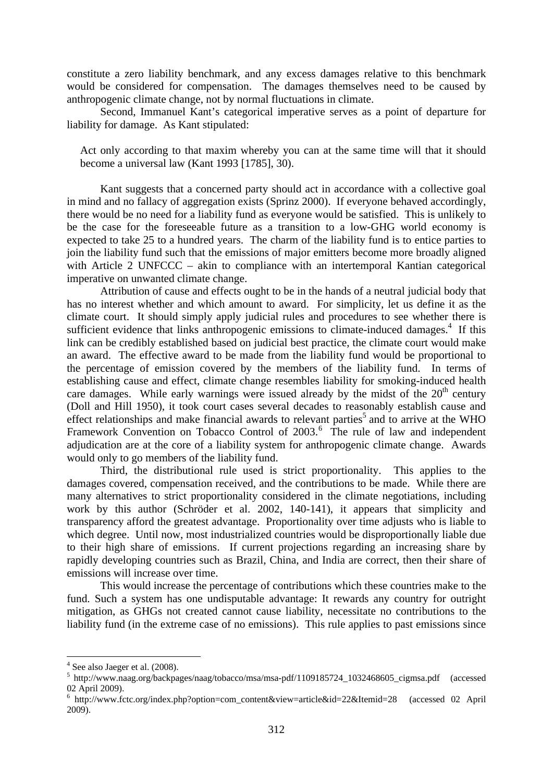constitute a zero liability benchmark, and any excess damages relative to this benchmark would be considered for compensation. The damages themselves need to be caused by anthropogenic climate change, not by normal fluctuations in climate.

Second, Immanuel Kant's categorical imperative serves as a point of departure for liability for damage. As Kant stipulated:

Act only according to that maxim whereby you can at the same time will that it should become a universal law (Kant 1993 [1785], 30).

 Kant suggests that a concerned party should act in accordance with a collective goal in mind and no fallacy of aggregation exists (Sprinz 2000). If everyone behaved accordingly, there would be no need for a liability fund as everyone would be satisfied. This is unlikely to be the case for the foreseeable future as a transition to a low-GHG world economy is expected to take 25 to a hundred years. The charm of the liability fund is to entice parties to join the liability fund such that the emissions of major emitters become more broadly aligned with Article 2 UNFCCC – akin to compliance with an intertemporal Kantian categorical imperative on unwanted climate change.

Attribution of cause and effects ought to be in the hands of a neutral judicial body that has no interest whether and which amount to award. For simplicity, let us define it as the climate court. It should simply apply judicial rules and procedures to see whether there is sufficient evidence that links anthropogenic emissions to climate-induced damages.<sup>4</sup> If this link can be credibly established based on judicial best practice, the climate court would make an award. The effective award to be made from the liability fund would be proportional to the percentage of emission covered by the members of the liability fund. In terms of establishing cause and effect, climate change resembles liability for smoking-induced health care damages. While early warnings were issued already by the midst of the  $20<sup>th</sup>$  century (Doll and Hill 1950), it took court cases several decades to reasonably establish cause and effect relationships and make financial awards to relevant parties<sup>5</sup> and to arrive at the WHO Framework Convention on Tobacco Control of 2003.<sup>6</sup> The rule of law and independent adjudication are at the core of a liability system for anthropogenic climate change. Awards would only to go members of the liability fund.

Third, the distributional rule used is strict proportionality. This applies to the damages covered, compensation received, and the contributions to be made. While there are many alternatives to strict proportionality considered in the climate negotiations, including work by this author (Schröder et al. 2002, 140-141), it appears that simplicity and transparency afford the greatest advantage. Proportionality over time adjusts who is liable to which degree. Until now, most industrialized countries would be disproportionally liable due to their high share of emissions. If current projections regarding an increasing share by rapidly developing countries such as Brazil, China, and India are correct, then their share of emissions will increase over time.

This would increase the percentage of contributions which these countries make to the fund. Such a system has one undisputable advantage: It rewards any country for outright mitigation, as GHGs not created cannot cause liability, necessitate no contributions to the liability fund (in the extreme case of no emissions). This rule applies to past emissions since

 $<sup>4</sup>$  See also Jaeger et al. (2008).</sup>

<sup>5</sup> http://www.naag.org/backpages/naag/tobacco/msa/msa-pdf/1109185724\_1032468605\_cigmsa.pdf (accessed 02 April 2009).

<sup>6</sup> http://www.fctc.org/index.php?option=com\_content&view=article&id=22&Itemid=28 (accessed 02 April 2009).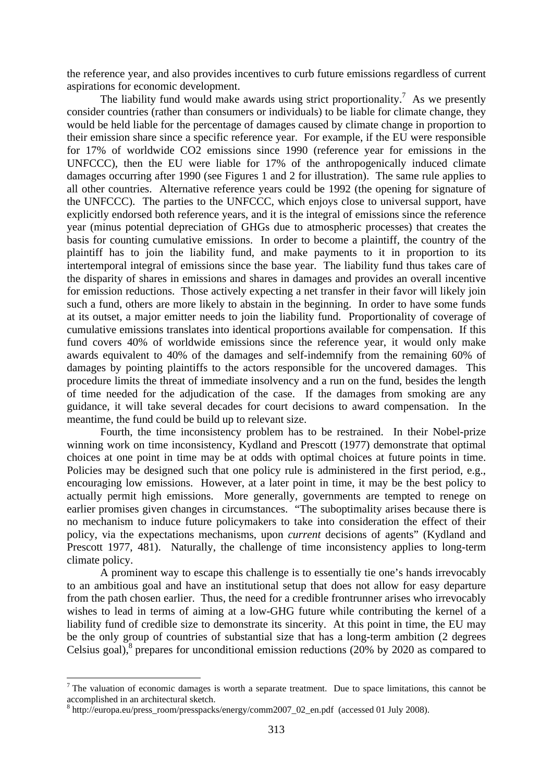the reference year, and also provides incentives to curb future emissions regardless of current aspirations for economic development.

The liability fund would make awards using strict proportionality.<sup>7</sup> As we presently consider countries (rather than consumers or individuals) to be liable for climate change, they would be held liable for the percentage of damages caused by climate change in proportion to their emission share since a specific reference year. For example, if the EU were responsible for 17% of worldwide CO2 emissions since 1990 (reference year for emissions in the UNFCCC), then the EU were liable for 17% of the anthropogenically induced climate damages occurring after 1990 (see Figures 1 and 2 for illustration). The same rule applies to all other countries. Alternative reference years could be 1992 (the opening for signature of the UNFCCC). The parties to the UNFCCC, which enjoys close to universal support, have explicitly endorsed both reference years, and it is the integral of emissions since the reference year (minus potential depreciation of GHGs due to atmospheric processes) that creates the basis for counting cumulative emissions. In order to become a plaintiff, the country of the plaintiff has to join the liability fund, and make payments to it in proportion to its intertemporal integral of emissions since the base year. The liability fund thus takes care of the disparity of shares in emissions and shares in damages and provides an overall incentive for emission reductions. Those actively expecting a net transfer in their favor will likely join such a fund, others are more likely to abstain in the beginning. In order to have some funds at its outset, a major emitter needs to join the liability fund. Proportionality of coverage of cumulative emissions translates into identical proportions available for compensation. If this fund covers 40% of worldwide emissions since the reference year, it would only make awards equivalent to 40% of the damages and self-indemnify from the remaining 60% of damages by pointing plaintiffs to the actors responsible for the uncovered damages. This procedure limits the threat of immediate insolvency and a run on the fund, besides the length of time needed for the adjudication of the case. If the damages from smoking are any guidance, it will take several decades for court decisions to award compensation. In the meantime, the fund could be build up to relevant size.

Fourth, the time inconsistency problem has to be restrained. In their Nobel-prize winning work on time inconsistency, Kydland and Prescott (1977) demonstrate that optimal choices at one point in time may be at odds with optimal choices at future points in time. Policies may be designed such that one policy rule is administered in the first period, e.g., encouraging low emissions. However, at a later point in time, it may be the best policy to actually permit high emissions. More generally, governments are tempted to renege on earlier promises given changes in circumstances. "The suboptimality arises because there is no mechanism to induce future policymakers to take into consideration the effect of their policy, via the expectations mechanisms, upon *current* decisions of agents" (Kydland and Prescott 1977, 481). Naturally, the challenge of time inconsistency applies to long-term climate policy.

A prominent way to escape this challenge is to essentially tie one's hands irrevocably to an ambitious goal and have an institutional setup that does not allow for easy departure from the path chosen earlier. Thus, the need for a credible frontrunner arises who irrevocably wishes to lead in terms of aiming at a low-GHG future while contributing the kernel of a liability fund of credible size to demonstrate its sincerity. At this point in time, the EU may be the only group of countries of substantial size that has a long-term ambition (2 degrees Celsius goal), $8$  prepares for unconditional emission reductions (20% by 2020 as compared to

<sup>&</sup>lt;sup>7</sup> The valuation of economic damages is worth a separate treatment. Due to space limitations, this cannot be accomplished in an architectural sketch.

<sup>8</sup> http://europa.eu/press\_room/presspacks/energy/comm2007\_02\_en.pdf (accessed 01 July 2008).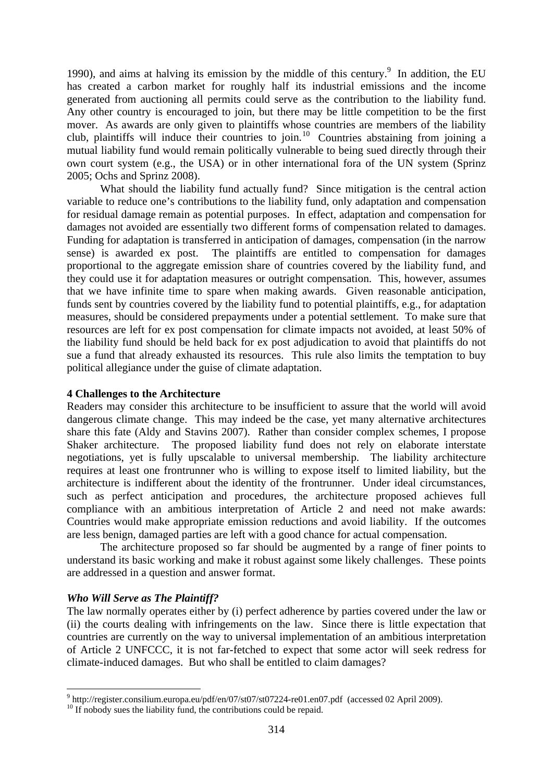1990), and aims at halving its emission by the middle of this century. $9$  In addition, the EU has created a carbon market for roughly half its industrial emissions and the income generated from auctioning all permits could serve as the contribution to the liability fund. Any other country is encouraged to join, but there may be little competition to be the first mover. As awards are only given to plaintiffs whose countries are members of the liability club, plaintiffs will induce their countries to join.<sup>10</sup> Countries abstaining from joining a mutual liability fund would remain politically vulnerable to being sued directly through their own court system (e.g., the USA) or in other international fora of the UN system (Sprinz 2005; Ochs and Sprinz 2008).

What should the liability fund actually fund? Since mitigation is the central action variable to reduce one's contributions to the liability fund, only adaptation and compensation for residual damage remain as potential purposes. In effect, adaptation and compensation for damages not avoided are essentially two different forms of compensation related to damages. Funding for adaptation is transferred in anticipation of damages, compensation (in the narrow sense) is awarded ex post. The plaintiffs are entitled to compensation for damages proportional to the aggregate emission share of countries covered by the liability fund, and they could use it for adaptation measures or outright compensation. This, however, assumes that we have infinite time to spare when making awards. Given reasonable anticipation, funds sent by countries covered by the liability fund to potential plaintiffs, e.g., for adaptation measures, should be considered prepayments under a potential settlement. To make sure that resources are left for ex post compensation for climate impacts not avoided, at least 50% of the liability fund should be held back for ex post adjudication to avoid that plaintiffs do not sue a fund that already exhausted its resources. This rule also limits the temptation to buy political allegiance under the guise of climate adaptation.

#### **4 Challenges to the Architecture**

Readers may consider this architecture to be insufficient to assure that the world will avoid dangerous climate change. This may indeed be the case, yet many alternative architectures share this fate (Aldy and Stavins 2007). Rather than consider complex schemes, I propose Shaker architecture. The proposed liability fund does not rely on elaborate interstate negotiations, yet is fully upscalable to universal membership. The liability architecture requires at least one frontrunner who is willing to expose itself to limited liability, but the architecture is indifferent about the identity of the frontrunner. Under ideal circumstances, such as perfect anticipation and procedures, the architecture proposed achieves full compliance with an ambitious interpretation of Article 2 and need not make awards: Countries would make appropriate emission reductions and avoid liability. If the outcomes are less benign, damaged parties are left with a good chance for actual compensation.

The architecture proposed so far should be augmented by a range of finer points to understand its basic working and make it robust against some likely challenges. These points are addressed in a question and answer format.

#### *Who Will Serve as The Plaintiff?*

1

The law normally operates either by (i) perfect adherence by parties covered under the law or (ii) the courts dealing with infringements on the law. Since there is little expectation that countries are currently on the way to universal implementation of an ambitious interpretation of Article 2 UNFCCC, it is not far-fetched to expect that some actor will seek redress for climate-induced damages. But who shall be entitled to claim damages?

 $9$  http://register.consilium.europa.eu/pdf/en/07/st07/st07224-re01.en07.pdf (accessed 02 April 2009).

<sup>&</sup>lt;sup>10</sup> If nobody sues the liability fund, the contributions could be repaid.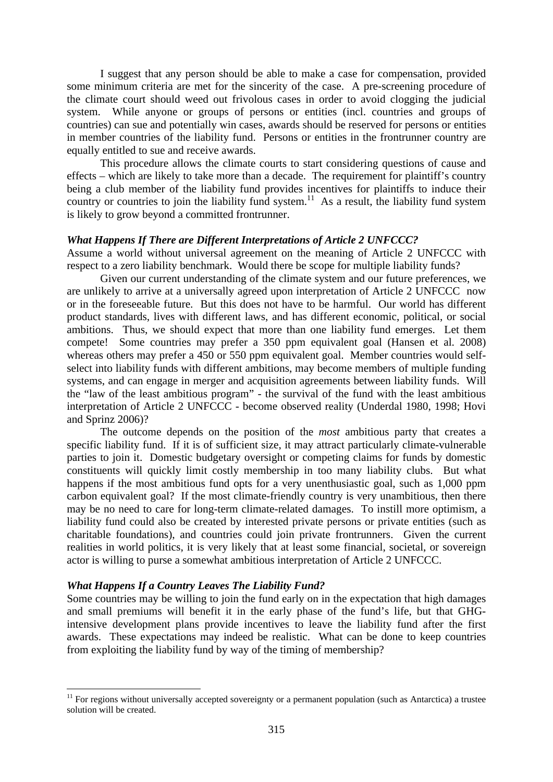I suggest that any person should be able to make a case for compensation, provided some minimum criteria are met for the sincerity of the case. A pre-screening procedure of the climate court should weed out frivolous cases in order to avoid clogging the judicial system. While anyone or groups of persons or entities (incl. countries and groups of countries) can sue and potentially win cases, awards should be reserved for persons or entities in member countries of the liability fund. Persons or entities in the frontrunner country are equally entitled to sue and receive awards.

This procedure allows the climate courts to start considering questions of cause and effects – which are likely to take more than a decade. The requirement for plaintiff's country being a club member of the liability fund provides incentives for plaintiffs to induce their country or countries to join the liability fund system.<sup>11</sup> As a result, the liability fund system is likely to grow beyond a committed frontrunner.

#### *What Happens If There are Different Interpretations of Article 2 UNFCCC?*

Assume a world without universal agreement on the meaning of Article 2 UNFCCC with respect to a zero liability benchmark. Would there be scope for multiple liability funds?

Given our current understanding of the climate system and our future preferences, we are unlikely to arrive at a universally agreed upon interpretation of Article 2 UNFCCC now or in the foreseeable future. But this does not have to be harmful. Our world has different product standards, lives with different laws, and has different economic, political, or social ambitions. Thus, we should expect that more than one liability fund emerges. Let them compete! Some countries may prefer a 350 ppm equivalent goal (Hansen et al. 2008) whereas others may prefer a 450 or 550 ppm equivalent goal. Member countries would selfselect into liability funds with different ambitions, may become members of multiple funding systems, and can engage in merger and acquisition agreements between liability funds. Will the "law of the least ambitious program" - the survival of the fund with the least ambitious interpretation of Article 2 UNFCCC - become observed reality (Underdal 1980, 1998; Hovi and Sprinz 2006)?

The outcome depends on the position of the *most* ambitious party that creates a specific liability fund. If it is of sufficient size, it may attract particularly climate-vulnerable parties to join it. Domestic budgetary oversight or competing claims for funds by domestic constituents will quickly limit costly membership in too many liability clubs. But what happens if the most ambitious fund opts for a very unenthusiastic goal, such as 1,000 ppm carbon equivalent goal? If the most climate-friendly country is very unambitious, then there may be no need to care for long-term climate-related damages. To instill more optimism, a liability fund could also be created by interested private persons or private entities (such as charitable foundations), and countries could join private frontrunners. Given the current realities in world politics, it is very likely that at least some financial, societal, or sovereign actor is willing to purse a somewhat ambitious interpretation of Article 2 UNFCCC.

#### *What Happens If a Country Leaves The Liability Fund?*

1

Some countries may be willing to join the fund early on in the expectation that high damages and small premiums will benefit it in the early phase of the fund's life, but that GHGintensive development plans provide incentives to leave the liability fund after the first awards. These expectations may indeed be realistic. What can be done to keep countries from exploiting the liability fund by way of the timing of membership?

 $11$  For regions without universally accepted sovereignty or a permanent population (such as Antarctica) a trustee solution will be created.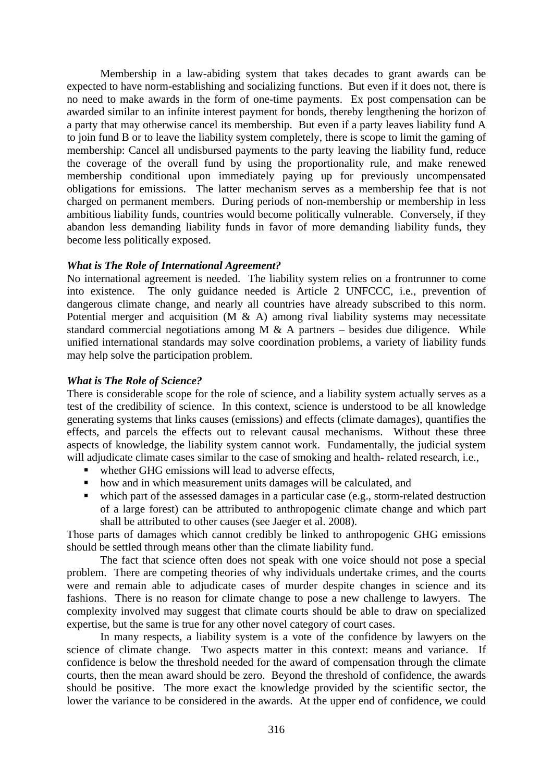Membership in a law-abiding system that takes decades to grant awards can be expected to have norm-establishing and socializing functions. But even if it does not, there is no need to make awards in the form of one-time payments. Ex post compensation can be awarded similar to an infinite interest payment for bonds, thereby lengthening the horizon of a party that may otherwise cancel its membership. But even if a party leaves liability fund A to join fund B or to leave the liability system completely, there is scope to limit the gaming of membership: Cancel all undisbursed payments to the party leaving the liability fund, reduce the coverage of the overall fund by using the proportionality rule, and make renewed membership conditional upon immediately paying up for previously uncompensated obligations for emissions. The latter mechanism serves as a membership fee that is not charged on permanent members. During periods of non-membership or membership in less ambitious liability funds, countries would become politically vulnerable. Conversely, if they abandon less demanding liability funds in favor of more demanding liability funds, they become less politically exposed.

#### *What is The Role of International Agreement?*

No international agreement is needed. The liability system relies on a frontrunner to come into existence. The only guidance needed is Article 2 UNFCCC, i.e., prevention of dangerous climate change, and nearly all countries have already subscribed to this norm. Potential merger and acquisition  $(M \& A)$  among rival liability systems may necessitate standard commercial negotiations among M  $\&$  A partners – besides due diligence. While unified international standards may solve coordination problems, a variety of liability funds may help solve the participation problem.

#### *What is The Role of Science?*

There is considerable scope for the role of science, and a liability system actually serves as a test of the credibility of science. In this context, science is understood to be all knowledge generating systems that links causes (emissions) and effects (climate damages), quantifies the effects, and parcels the effects out to relevant causal mechanisms. Without these three aspects of knowledge, the liability system cannot work. Fundamentally, the judicial system will adjudicate climate cases similar to the case of smoking and health- related research, i.e.,

- whether GHG emissions will lead to adverse effects,
- how and in which measurement units damages will be calculated, and
- which part of the assessed damages in a particular case (e.g., storm-related destruction of a large forest) can be attributed to anthropogenic climate change and which part shall be attributed to other causes (see Jaeger et al. 2008).

Those parts of damages which cannot credibly be linked to anthropogenic GHG emissions should be settled through means other than the climate liability fund.

The fact that science often does not speak with one voice should not pose a special problem. There are competing theories of why individuals undertake crimes, and the courts were and remain able to adjudicate cases of murder despite changes in science and its fashions. There is no reason for climate change to pose a new challenge to lawyers. The complexity involved may suggest that climate courts should be able to draw on specialized expertise, but the same is true for any other novel category of court cases.

In many respects, a liability system is a vote of the confidence by lawyers on the science of climate change. Two aspects matter in this context: means and variance. If confidence is below the threshold needed for the award of compensation through the climate courts, then the mean award should be zero. Beyond the threshold of confidence, the awards should be positive. The more exact the knowledge provided by the scientific sector, the lower the variance to be considered in the awards. At the upper end of confidence, we could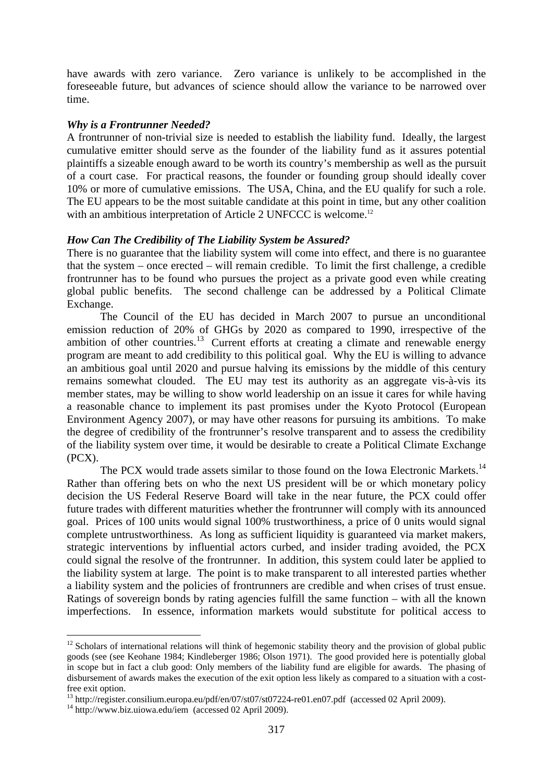have awards with zero variance. Zero variance is unlikely to be accomplished in the foreseeable future, but advances of science should allow the variance to be narrowed over time.

#### *Why is a Frontrunner Needed?*

A frontrunner of non-trivial size is needed to establish the liability fund. Ideally, the largest cumulative emitter should serve as the founder of the liability fund as it assures potential plaintiffs a sizeable enough award to be worth its country's membership as well as the pursuit of a court case. For practical reasons, the founder or founding group should ideally cover 10% or more of cumulative emissions. The USA, China, and the EU qualify for such a role. The EU appears to be the most suitable candidate at this point in time, but any other coalition with an ambitious interpretation of Article 2 UNFCCC is welcome.<sup>12</sup>

#### *How Can The Credibility of The Liability System be Assured?*

There is no guarantee that the liability system will come into effect, and there is no guarantee that the system – once erected – will remain credible. To limit the first challenge, a credible frontrunner has to be found who pursues the project as a private good even while creating global public benefits. The second challenge can be addressed by a Political Climate Exchange.

The Council of the EU has decided in March 2007 to pursue an unconditional emission reduction of 20% of GHGs by 2020 as compared to 1990, irrespective of the ambition of other countries.<sup>13</sup> Current efforts at creating a climate and renewable energy program are meant to add credibility to this political goal. Why the EU is willing to advance an ambitious goal until 2020 and pursue halving its emissions by the middle of this century remains somewhat clouded. The EU may test its authority as an aggregate vis-à-vis its member states, may be willing to show world leadership on an issue it cares for while having a reasonable chance to implement its past promises under the Kyoto Protocol (European Environment Agency 2007), or may have other reasons for pursuing its ambitions. To make the degree of credibility of the frontrunner's resolve transparent and to assess the credibility of the liability system over time, it would be desirable to create a Political Climate Exchange (PCX).

The PCX would trade assets similar to those found on the Iowa Electronic Markets.<sup>14</sup> Rather than offering bets on who the next US president will be or which monetary policy decision the US Federal Reserve Board will take in the near future, the PCX could offer future trades with different maturities whether the frontrunner will comply with its announced goal. Prices of 100 units would signal 100% trustworthiness, a price of 0 units would signal complete untrustworthiness. As long as sufficient liquidity is guaranteed via market makers, strategic interventions by influential actors curbed, and insider trading avoided, the PCX could signal the resolve of the frontrunner. In addition, this system could later be applied to the liability system at large. The point is to make transparent to all interested parties whether a liability system and the policies of frontrunners are credible and when crises of trust ensue. Ratings of sovereign bonds by rating agencies fulfill the same function – with all the known imperfections. In essence, information markets would substitute for political access to

 $12$  Scholars of international relations will think of hegemonic stability theory and the provision of global public goods (see (see Keohane 1984; Kindleberger 1986; Olson 1971). The good provided here is potentially global in scope but in fact a club good: Only members of the liability fund are eligible for awards. The phasing of disbursement of awards makes the execution of the exit option less likely as compared to a situation with a costfree exit option.

<sup>&</sup>lt;sup>13</sup> http://register.consilium.europa.eu/pdf/en/07/st07/st07224-re01.en07.pdf (accessed 02 April 2009).<br><sup>14</sup> http://www.biz.uiowa.edu/iem (accessed 02 April 2009).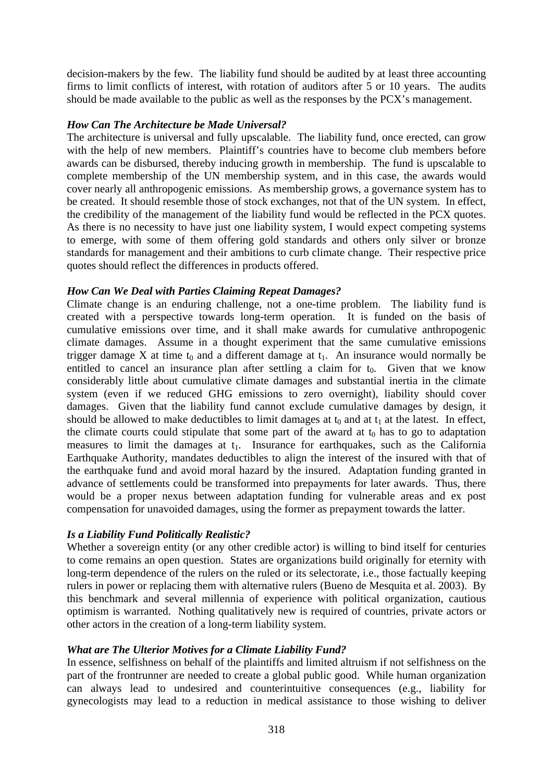decision-makers by the few. The liability fund should be audited by at least three accounting firms to limit conflicts of interest, with rotation of auditors after 5 or 10 years. The audits should be made available to the public as well as the responses by the PCX's management.

# *How Can The Architecture be Made Universal?*

The architecture is universal and fully upscalable. The liability fund, once erected, can grow with the help of new members. Plaintiff's countries have to become club members before awards can be disbursed, thereby inducing growth in membership. The fund is upscalable to complete membership of the UN membership system, and in this case, the awards would cover nearly all anthropogenic emissions. As membership grows, a governance system has to be created. It should resemble those of stock exchanges, not that of the UN system. In effect, the credibility of the management of the liability fund would be reflected in the PCX quotes. As there is no necessity to have just one liability system, I would expect competing systems to emerge, with some of them offering gold standards and others only silver or bronze standards for management and their ambitions to curb climate change. Their respective price quotes should reflect the differences in products offered.

# *How Can We Deal with Parties Claiming Repeat Damages?*

Climate change is an enduring challenge, not a one-time problem. The liability fund is created with a perspective towards long-term operation. It is funded on the basis of cumulative emissions over time, and it shall make awards for cumulative anthropogenic climate damages. Assume in a thought experiment that the same cumulative emissions trigger damage  $X$  at time  $t_0$  and a different damage at  $t_1$ . An insurance would normally be entitled to cancel an insurance plan after settling a claim for  $t_0$ . Given that we know considerably little about cumulative climate damages and substantial inertia in the climate system (even if we reduced GHG emissions to zero overnight), liability should cover damages. Given that the liability fund cannot exclude cumulative damages by design, it should be allowed to make deductibles to limit damages at  $t_0$  and at  $t_1$  at the latest. In effect, the climate courts could stipulate that some part of the award at  $t_0$  has to go to adaptation measures to limit the damages at  $t_1$ . Insurance for earthquakes, such as the California Earthquake Authority, mandates deductibles to align the interest of the insured with that of the earthquake fund and avoid moral hazard by the insured. Adaptation funding granted in advance of settlements could be transformed into prepayments for later awards. Thus, there would be a proper nexus between adaptation funding for vulnerable areas and ex post compensation for unavoided damages, using the former as prepayment towards the latter.

# *Is a Liability Fund Politically Realistic?*

Whether a sovereign entity (or any other credible actor) is willing to bind itself for centuries to come remains an open question. States are organizations build originally for eternity with long-term dependence of the rulers on the ruled or its selectorate, i.e., those factually keeping rulers in power or replacing them with alternative rulers (Bueno de Mesquita et al. 2003). By this benchmark and several millennia of experience with political organization, cautious optimism is warranted. Nothing qualitatively new is required of countries, private actors or other actors in the creation of a long-term liability system.

# *What are The Ulterior Motives for a Climate Liability Fund?*

In essence, selfishness on behalf of the plaintiffs and limited altruism if not selfishness on the part of the frontrunner are needed to create a global public good. While human organization can always lead to undesired and counterintuitive consequences (e.g., liability for gynecologists may lead to a reduction in medical assistance to those wishing to deliver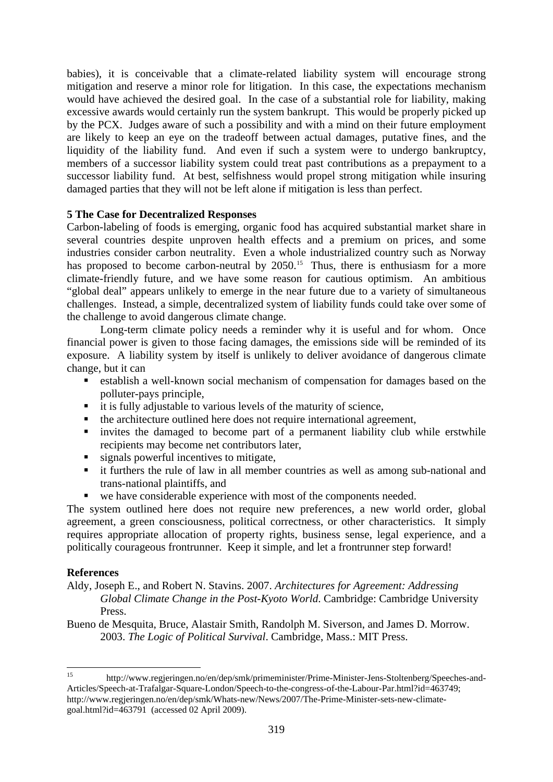babies), it is conceivable that a climate-related liability system will encourage strong mitigation and reserve a minor role for litigation. In this case, the expectations mechanism would have achieved the desired goal. In the case of a substantial role for liability, making excessive awards would certainly run the system bankrupt. This would be properly picked up by the PCX. Judges aware of such a possibility and with a mind on their future employment are likely to keep an eye on the tradeoff between actual damages, putative fines, and the liquidity of the liability fund. And even if such a system were to undergo bankruptcy, members of a successor liability system could treat past contributions as a prepayment to a successor liability fund. At best, selfishness would propel strong mitigation while insuring damaged parties that they will not be left alone if mitigation is less than perfect.

# **5 The Case for Decentralized Responses**

Carbon-labeling of foods is emerging, organic food has acquired substantial market share in several countries despite unproven health effects and a premium on prices, and some industries consider carbon neutrality. Even a whole industrialized country such as Norway has proposed to become carbon-neutral by 2050.<sup>15</sup> Thus, there is enthusiasm for a more climate-friendly future, and we have some reason for cautious optimism. An ambitious "global deal" appears unlikely to emerge in the near future due to a variety of simultaneous challenges. Instead, a simple, decentralized system of liability funds could take over some of the challenge to avoid dangerous climate change.

Long-term climate policy needs a reminder why it is useful and for whom. Once financial power is given to those facing damages, the emissions side will be reminded of its exposure. A liability system by itself is unlikely to deliver avoidance of dangerous climate change, but it can

- establish a well-known social mechanism of compensation for damages based on the polluter-pays principle,
- $\blacksquare$  it is fully adjustable to various levels of the maturity of science,
- $\blacksquare$  the architecture outlined here does not require international agreement,
- invites the damaged to become part of a permanent liability club while erstwhile recipients may become net contributors later,
- signals powerful incentives to mitigate,
- it furthers the rule of law in all member countries as well as among sub-national and trans-national plaintiffs, and
- we have considerable experience with most of the components needed.

The system outlined here does not require new preferences, a new world order, global agreement, a green consciousness, political correctness, or other characteristics. It simply requires appropriate allocation of property rights, business sense, legal experience, and a politically courageous frontrunner. Keep it simple, and let a frontrunner step forward!

#### **References**

- Aldy, Joseph E., and Robert N. Stavins. 2007. *Architectures for Agreement: Addressing Global Climate Change in the Post-Kyoto World*. Cambridge: Cambridge University Press.
- Bueno de Mesquita, Bruce, Alastair Smith, Randolph M. Siverson, and James D. Morrow. 2003. *The Logic of Political Survival*. Cambridge, Mass.: MIT Press.

 $15$ <sup>15</sup> http://www.regjeringen.no/en/dep/smk/primeminister/Prime-Minister-Jens-Stoltenberg/Speeches-and-Articles/Speech-at-Trafalgar-Square-London/Speech-to-the-congress-of-the-Labour-Par.html?id=463749; http://www.regjeringen.no/en/dep/smk/Whats-new/News/2007/The-Prime-Minister-sets-new-climategoal.html?id=463791 (accessed 02 April 2009).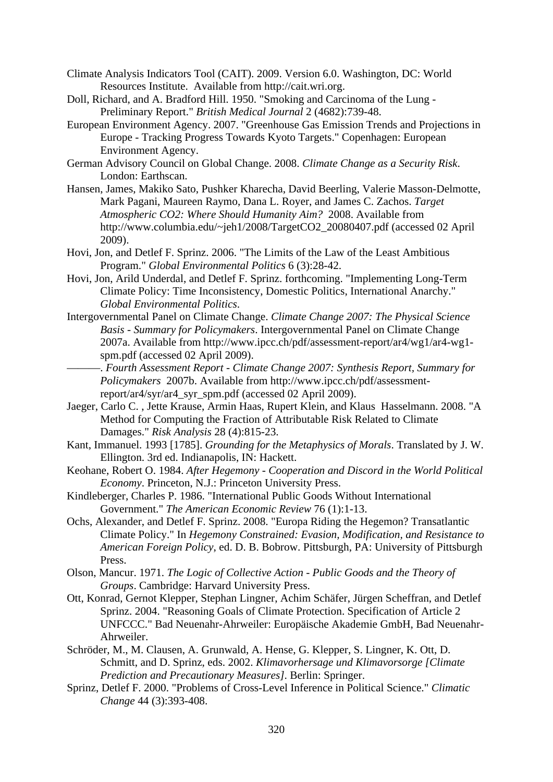- Climate Analysis Indicators Tool (CAIT). 2009. Version 6.0. Washington, DC: World Resources Institute. Available from http://cait.wri.org.
- Doll, Richard, and A. Bradford Hill. 1950. "Smoking and Carcinoma of the Lung Preliminary Report." *British Medical Journal* 2 (4682):739-48.
- European Environment Agency. 2007. "Greenhouse Gas Emission Trends and Projections in Europe - Tracking Progress Towards Kyoto Targets." Copenhagen: European Environment Agency.
- German Advisory Council on Global Change. 2008. *Climate Change as a Security Risk*. London: Earthscan.
- Hansen, James, Makiko Sato, Pushker Kharecha, David Beerling, Valerie Masson-Delmotte, Mark Pagani, Maureen Raymo, Dana L. Royer, and James C. Zachos. *Target Atmospheric CO2: Where Should Humanity Aim?* 2008. Available from http://www.columbia.edu/~jeh1/2008/TargetCO2\_20080407.pdf (accessed 02 April 2009).
- Hovi, Jon, and Detlef F. Sprinz. 2006. "The Limits of the Law of the Least Ambitious Program." *Global Environmental Politics* 6 (3):28-42.
- Hovi, Jon, Arild Underdal, and Detlef F. Sprinz. forthcoming. "Implementing Long-Term Climate Policy: Time Inconsistency, Domestic Politics, International Anarchy." *Global Environmental Politics*.
- Intergovernmental Panel on Climate Change. *Climate Change 2007: The Physical Science Basis - Summary for Policymakers*. Intergovernmental Panel on Climate Change 2007a. Available from http://www.ipcc.ch/pdf/assessment-report/ar4/wg1/ar4-wg1 spm.pdf (accessed 02 April 2009).
- ———. *Fourth Assessment Report Climate Change 2007: Synthesis Report, Summary for Policymakers* 2007b. Available from http://www.ipcc.ch/pdf/assessmentreport/ar4/syr/ar4\_syr\_spm.pdf (accessed 02 April 2009).
- Jaeger, Carlo C. , Jette Krause, Armin Haas, Rupert Klein, and Klaus Hasselmann. 2008. "A Method for Computing the Fraction of Attributable Risk Related to Climate Damages." *Risk Analysis* 28 (4):815-23.
- Kant, Immanuel. 1993 [1785]. *Grounding for the Metaphysics of Morals*. Translated by J. W. Ellington. 3rd ed. Indianapolis, IN: Hackett.
- Keohane, Robert O. 1984. *After Hegemony Cooperation and Discord in the World Political Economy*. Princeton, N.J.: Princeton University Press.
- Kindleberger, Charles P. 1986. "International Public Goods Without International Government." *The American Economic Review* 76 (1):1-13.
- Ochs, Alexander, and Detlef F. Sprinz. 2008. "Europa Riding the Hegemon? Transatlantic Climate Policy." In *Hegemony Constrained: Evasion, Modification, and Resistance to American Foreign Policy*, ed. D. B. Bobrow. Pittsburgh, PA: University of Pittsburgh Press.
- Olson, Mancur. 1971. *The Logic of Collective Action Public Goods and the Theory of Groups*. Cambridge: Harvard University Press.
- Ott, Konrad, Gernot Klepper, Stephan Lingner, Achim Schäfer, Jürgen Scheffran, and Detlef Sprinz. 2004. "Reasoning Goals of Climate Protection. Specification of Article 2 UNFCCC." Bad Neuenahr-Ahrweiler: Europäische Akademie GmbH, Bad Neuenahr-Ahrweiler.
- Schröder, M., M. Clausen, A. Grunwald, A. Hense, G. Klepper, S. Lingner, K. Ott, D. Schmitt, and D. Sprinz, eds. 2002. *Klimavorhersage und Klimavorsorge [Climate Prediction and Precautionary Measures]*. Berlin: Springer.
- Sprinz, Detlef F. 2000. "Problems of Cross-Level Inference in Political Science." *Climatic Change* 44 (3):393-408.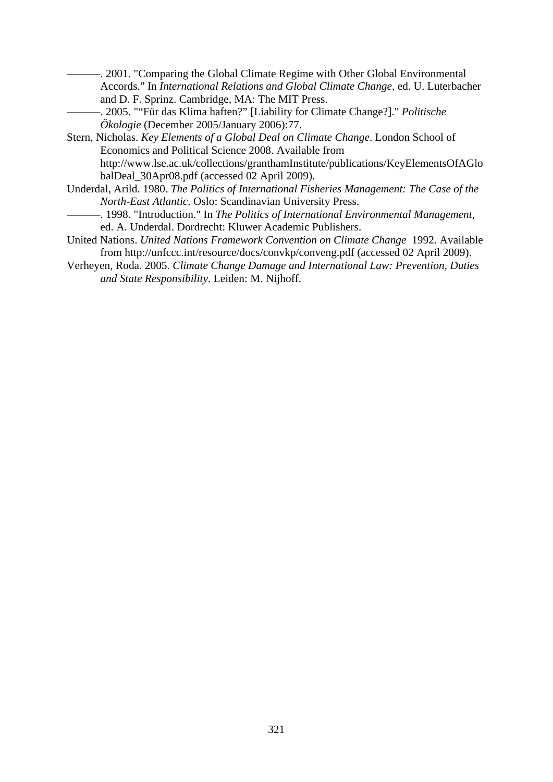- ———. 2001. "Comparing the Global Climate Regime with Other Global Environmental Accords." In *International Relations and Global Climate Change*, ed. U. Luterbacher and D. F. Sprinz. Cambridge, MA: The MIT Press.
- ———. 2005. ""Für das Klima haften?" [Liability for Climate Change?]." *Politische Ökologie* (December 2005/January 2006):77.
- Stern, Nicholas. *Key Elements of a Global Deal on Climate Change*. London School of Economics and Political Science 2008. Available from http://www.lse.ac.uk/collections/granthamInstitute/publications/KeyElementsOfAGlo balDeal\_30Apr08.pdf (accessed 02 April 2009).
- Underdal, Arild. 1980. *The Politics of International Fisheries Management: The Case of the North-East Atlantic*. Oslo: Scandinavian University Press.
- ———. 1998. "Introduction." In *The Politics of International Environmental Management*, ed. A. Underdal. Dordrecht: Kluwer Academic Publishers.
- United Nations. *United Nations Framework Convention on Climate Change* 1992. Available from http://unfccc.int/resource/docs/convkp/conveng.pdf (accessed 02 April 2009).
- Verheyen, Roda. 2005. *Climate Change Damage and International Law: Prevention, Duties and State Responsibility*. Leiden: M. Nijhoff.